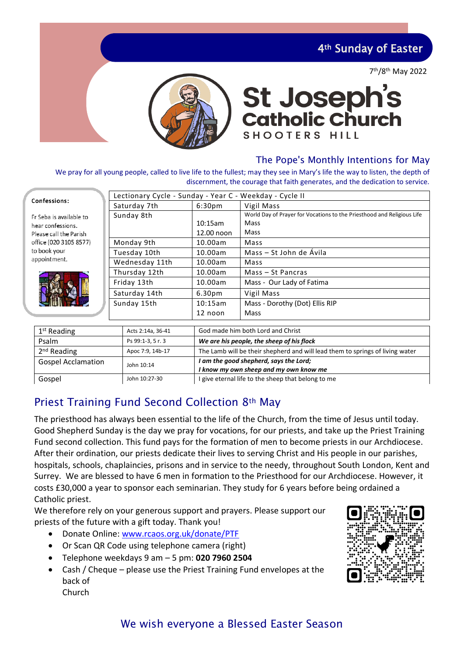4th Sunday of Easter

7 th/8th May 2022



# **St Joseph's<br>Catholic Church** SHOOTERS HILL

## The Pope's Monthly Intentions for May

We pray for all young people, called to live life to the fullest; may they see in Mary's life the way to listen, the depth of discernment, the courage that faith generates, and the dedication to service.

| Confessions:                                                                                                                     | Lectionary Cycle - Sunday - Year C - Weekday - Cycle II |                                   |                                                                                        |  |
|----------------------------------------------------------------------------------------------------------------------------------|---------------------------------------------------------|-----------------------------------|----------------------------------------------------------------------------------------|--|
|                                                                                                                                  | Saturday 7th                                            | 6:30 <sub>pm</sub>                | Vigil Mass                                                                             |  |
| Er Seba is available to<br>hear confessions.<br>Please call the Parish<br>office (020 3105 8577)<br>to book your<br>appointment. | Sunday 8th                                              | 10:15am                           | World Day of Prayer for Vocations to the Priesthood and Religious Life<br>Mass<br>Mass |  |
|                                                                                                                                  | Monday 9th                                              | 12.00 noon<br>10.00am             | Mass                                                                                   |  |
|                                                                                                                                  | Tuesday 10th                                            | 10.00am                           | Mass – St John de Ávila                                                                |  |
|                                                                                                                                  | Wednesday 11th                                          | 10.00am                           | Mass                                                                                   |  |
|                                                                                                                                  | Thursday 12th                                           | 10.00am                           | Mass - St Pancras                                                                      |  |
|                                                                                                                                  | Friday 13th                                             | 10.00am                           | Mass - Our Lady of Fatima                                                              |  |
|                                                                                                                                  | Saturday 14th                                           | 6.30 <sub>pm</sub>                | Vigil Mass                                                                             |  |
|                                                                                                                                  | Sunday 15th                                             | 10:15am                           | Mass - Dorothy (Dot) Ellis RIP                                                         |  |
|                                                                                                                                  |                                                         | 12 noon                           | Mass                                                                                   |  |
|                                                                                                                                  |                                                         |                                   |                                                                                        |  |
| $1st$ Reading                                                                                                                    | Acts 2:14a, 36-41                                       | God made him both Lord and Christ |                                                                                        |  |

| $1st$ Reading             | Acts 2:14a, 36-41 | God made him both Lord and Christ                                             |
|---------------------------|-------------------|-------------------------------------------------------------------------------|
| Psalm                     | Ps 99:1-3, 5 r. 3 | We are his people, the sheep of his flock                                     |
| $2nd$ Reading             | Apoc 7:9, 14b-17  | The Lamb will be their shepherd and will lead them to springs of living water |
| <b>Gospel Acclamation</b> | John 10:14        | I am the good shepherd, says the Lord;                                        |
|                           |                   | I know my own sheep and my own know me                                        |
| Gospel                    | John 10:27-30     | I give eternal life to the sheep that belong to me                            |

# Priest Training Fund Second Collection 8th May

The priesthood has always been essential to the life of the Church, from the time of Jesus until today. Good Shepherd Sunday is the day we pray for vocations, for our priests, and take up the Priest Training Fund second collection. This fund pays for the formation of men to become priests in our Archdiocese. After their ordination, our priests dedicate their lives to serving Christ and His people in our parishes, hospitals, schools, chaplaincies, prisons and in service to the needy, throughout South London, Kent and Surrey. We are blessed to have 6 men in formation to the Priesthood for our Archdiocese. However, it costs £30,000 a year to sponsor each seminarian. They study for 6 years before being ordained a Catholic priest.

We therefore rely on your generous support and prayers. Please support our priests of the future with a gift today. Thank you!

- Donate Online: [www.rcaos.org.uk/donate/PTF](http://www.rcaos.org.uk/donate/PTF)
- Or Scan QR Code using telephone camera (right)
- Telephone weekdays 9 am 5 pm: **020 7960 2504**
- Cash / Cheque please use the Priest Training Fund envelopes at the back of Church



# We wish everyone a Blessed Easter Season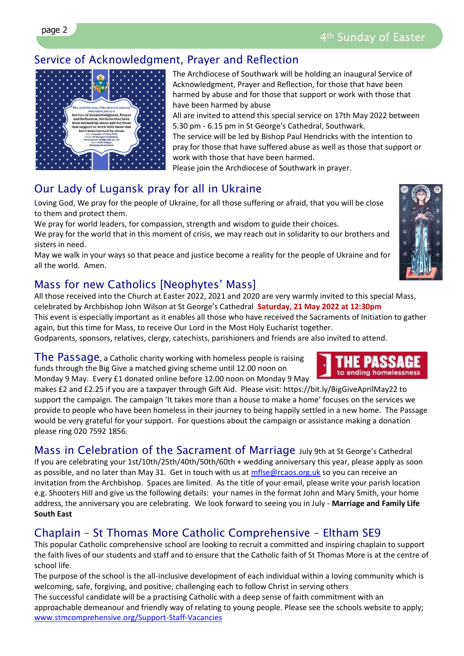# Service of Acknowledgment, Prayer and Reflection

The Archdiocese of Southwark will be holding an inaugural Service of Acknowledgment, Prayer and Reflection, for those that have been harmed by abuse and for those that support or work with those that have been harmed by abuse

All are invited to attend this special service on 17th May 2022 between 5.30 pm - 6.15 pm in St George's Cathedral, Southwark.

The service will be led by Bishop Paul Hendricks with the intention to pray for those that have suffered abuse as well as those that support or work with those that have been harmed.

Please join the Archdiocese of Southwark in prayer.

# Our Lady of Lugansk pray for all in Ukraine

Loving God, We pray for the people of Ukraine, for all those suffering or afraid, that you will be close to them and protect them.

We pray for world leaders, for compassion, strength and wisdom to guide their choices.

We pray for the world that in this moment of crisis, we may reach out in solidarity to our brothers and sisters in need.

May we walk in your ways so that peace and justice become a reality for the people of Ukraine and for all the world. Amen.

# Mass for new Catholics [Neophytes' Mass]

All those received into the Church at Easter 2022, 2021 and 2020 are very warmly invited to this special Mass, celebrated by Archbishop John Wilson at St George's Cathedral **Saturday, 21 May 2022 at 12:30pm** This event is especially important as it enables all those who have received the Sacraments of Initiation to gather again, but this time for Mass, to receive Our Lord in the Most Holy Eucharist together.

Godparents, sponsors, relatives, clergy, catechists, parishioners and friends are also invited to attend.

The Passage, a Catholic charity working with homeless people is raising funds through the Big Give a matched giving scheme until 12.00 noon on Monday 9 May. Every £1 donated online before 12.00 noon on Monday 9 May

makes £2 and £2.25 if you are a taxpayer through Gift Aid. Please visit: https://bit.ly/BigGiveAprilMay22 to support the campaign. The campaign 'It takes more than a house to make a home' focuses on the services we provide to people who have been homeless in their journey to being happily settled in a new home. The Passage would be very grateful for your support. For questions about the campaign or assistance making a donation please ring 020 7592 1856.

Mass in Celebration of the Sacrament of Marriage July 9th at St George's Cathedral If you are celebrating your 1st/10th/25th/40th/50th/60th + wedding anniversary this year, please apply as soon as possible, and no later than May 31. Get in touch with us at [mflse@rcaos.org.uk](mailto:mflse@rcaos.org.uk) so you can receive an invitation from the Archbishop. Spaces are limited. As the title of your email, please write your parish location e.g. Shooters Hill and give us the following details: your names in the format John and Mary Smith, your home address, the anniversary you are celebrating. We look forward to seeing you in July - **Marriage and Family Life South East**

# Chaplain – St Thomas More Catholic Comprehensive – Eltham SE9

This popular Catholic comprehensive school are looking to recruit a committed and inspiring chaplain to support the faith lives of our students and staff and to ensure that the Catholic faith of St Thomas More is at the centre of school life.

The purpose of the school is the all-inclusive development of each individual within a loving community which is welcoming, safe, forgiving, and positive; challenging each to follow Christ in serving others

The successful candidate will be a practising Catholic with a deep sense of faith commitment with an approachable demeanour and friendly way of relating to young people. Please see the schools website to apply; [www.stmcomprehensive.org/Support-Staff-Vacancies](http://www.stmcomprehensive.org/Support-Staff-Vacancies/)



to ending homelessness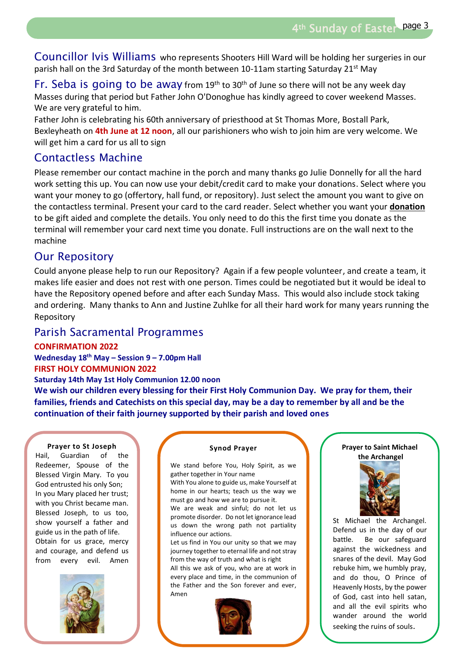4th Sunday of Easter page 3

Councillor Ivis Williams who represents Shooters Hill Ward will be holding her surgeries in our parish hall on the 3rd Saturday of the month between 10-11am starting Saturday 21<sup>st</sup> May

Fr. Seba is going to be away from 19<sup>th</sup> to 30<sup>th</sup> of June so there will not be any week day Masses during that period but Father John O'Donoghue has kindly agreed to cover weekend Masses. We are very grateful to him.

Father John is celebrating his 60th anniversary of priesthood at St Thomas More, Bostall Park, Bexleyheath on **4th June at 12 noon**, all our parishioners who wish to join him are very welcome. We will get him a card for us all to sign

## Contactless Machine

Please remember our contact machine in the porch and many thanks go Julie Donnelly for all the hard work setting this up. You can now use your debit/credit card to make your donations. Select where you want your money to go (offertory, hall fund, or repository). Just select the amount you want to give on the contactless terminal. Present your card to the card reader. Select whether you want your **donation** to be gift aided and complete the details. You only need to do this the first time you donate as the terminal will remember your card next time you donate. Full instructions are on the wall next to the machine

## Our Repository

Could anyone please help to run our Repository? Again if a few people volunteer, and create a team, it makes life easier and does not rest with one person. Times could be negotiated but it would be ideal to have the Repository opened before and after each Sunday Mass. This would also include stock taking and ordering. Many thanks to Ann and Justine Zuhlke for all their hard work for many years running the Repository

## Parish Sacramental Programmes

## **CONFIRMATION 2022**

**Wednesday 18th May – Session 9 – 7.00pm Hall FIRST HOLY COMMUNION 2022**

## **Saturday 14th May 1st Holy Communion 12.00 noon**

**We wish our children every blessing for their First Holy Communion Day. We pray for them, their families, friends and Catechists on this special day, may be a day to remember by all and be the continuation of their faith journey supported by their parish and loved ones**

#### **Prayer to St Joseph**

Guardian of the Redeemer, Spouse of the Blessed Virgin Mary. To you God entrusted his only Son; In you Mary placed her trust; with you Christ became man. Blessed Joseph, to us too, show yourself a father and guide us in the path of life. Obtain for us grace, mercy and courage, and defend us from every evil. Amen Hail



#### **Synod Prayer**

We stand before You, Holy Spirit, as we gather together in Your name

With You alone to guide us, make Yourself at home in our hearts; teach us the way we must go and how we are to pursue it.

We are weak and sinful; do not let us promote disorder. Do not let ignorance lead us down the wrong path not partiality influence our actions.

Let us find in You our unity so that we may journey together to eternal life and not stray from the way of truth and what is right

All this we ask of you, who are at work in every place and time, in the communion of the Father and the Son forever and ever, Amen



#### **Prayer to Saint Michael the Archangel**



St Michael the Archangel. Defend us in the day of our battle. Be our safeguard against the wickedness and snares of the devil. May God rebuke him, we humbly pray, and do thou, O Prince of Heavenly Hosts, by the power of God, cast into hell satan, and all the evil spirits who wander around the world seeking the ruins of souls.